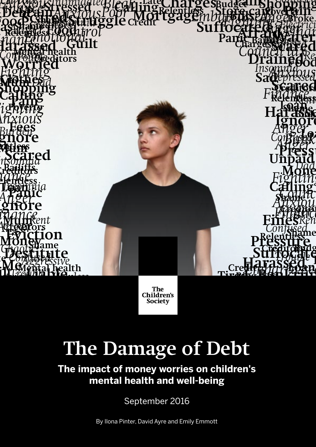

**The Children's Society** 

# **The Damage of Debt**

**The impact of money worries on children's mental health and well-being**

September 2016

By Ilona Pinter, David Ayre and Emily Emmott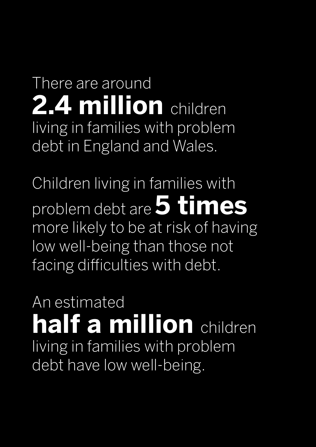There are around **2.4 million** children living in families with problem debt in England and Wales.

Children living in families with problem debt are **5 times** more likely to be at risk of having low well-being than those not facing difficulties with debt.

An estimated **half a million** children living in families with problem debt have low well-being.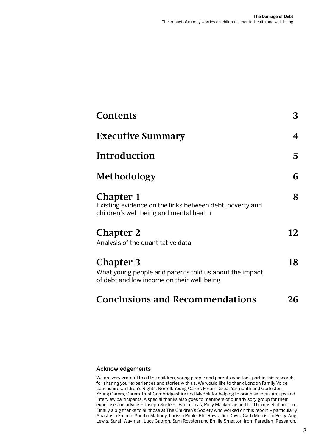| Contents                                                                                                                 | 3  |
|--------------------------------------------------------------------------------------------------------------------------|----|
| <b>Executive Summary</b>                                                                                                 | 4  |
| Introduction                                                                                                             | 5  |
| Methodology                                                                                                              | 6  |
| <b>Chapter 1</b><br>Existing evidence on the links between debt, poverty and<br>children's well-being and mental health  | 8  |
| <b>Chapter 2</b><br>Analysis of the quantitative data                                                                    | 12 |
| <b>Chapter 3</b><br>What young people and parents told us about the impact<br>of debt and low income on their well-being | 18 |
| <b>Conclusions and Recommendations</b>                                                                                   | 26 |

#### Acknowledgements

We are very grateful to all the children, young people and parents who took part in this research, for sharing your experiences and stories with us. We would like to thank London Family Voice, Lancashire Children's Rights, Norfolk Young Carers Forum, Great Yarmouth and Gorleston Young Carers, Carers Trust Cambridgeshire and MyBnk for helping to organise focus groups and interview participants. A special thanks also goes to members of our advisory group for their expertise and advice – Joseph Surtees, Paula Lavis, Polly Mackenzie and Dr Thomas Richardson. Finally a big thanks to all those at The Children's Society who worked on this report – particularly Anastasia French, Sorcha Mahony, Larissa Pople, Phil Raws, Jim Davis, Cath Morris, Jo Petty, Angi Lewis, Sarah Wayman, Lucy Capron, Sam Royston and Emilie Smeaton from Paradigm Research.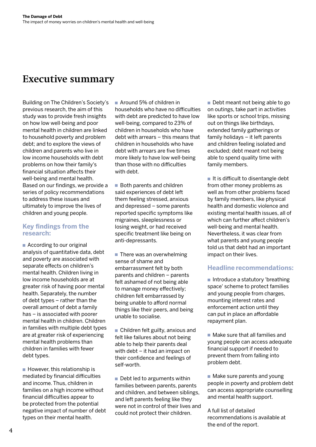### **Executive summary**

Building on The Children's Society's previous research, the aim of this study was to provide fresh insights on how low well-being and poor mental health in children are linked to household poverty and problem debt; and to explore the views of children and parents who live in low income households with debt problems on how their family's financial situation affects their well-being and mental health. Based on our findings, we provide a series of policy recommendations to address these issues and ultimately to improve the lives of children and young people.

#### **Key findings from the research:**

■ According to our original analysis of quantitative data, debt and poverty are associated with separate effects on children's mental health. Children living in low income households are at greater risk of having poor mental health. Separately, the number of debt types – rather than the overall amount of debt a family has – is associated with poorer mental health in children. Children in families with multiple debt types are at greater risk of experiencing mental health problems than children in families with fewer debt types.

 $\blacksquare$  However, this relationship is mediated by financial difficulties and income. Thus, children in families on a high income without financial difficulties appear to be protected from the potential negative impact of number of debt types on their mental health.

Around 5% of children in households who have no difficulties with debt are predicted to have low well-being, compared to 23% of children in households who have debt with arrears – this means that children in households who have debt with arrears are five times more likely to have low well-being than those with no difficulties with debt.

■ Both parents and children said experiences of debt left them feeling stressed, anxious and depressed – some parents reported specific symptoms like migraines, sleeplessness or losing weight, or had received specific treatment like being on anti-depressants.

 $\blacksquare$  There was an overwhelming sense of shame and embarrassment felt by both parents and children – parents felt ashamed of not being able to manage money effectively; children felt embarrassed by being unable to afford normal things like their peers, and being unable to socialise.

■ Children felt guilty, anxious and felt like failures about not being able to help their parents deal with debt – it had an impact on their confidence and feelings of self-worth.

Debt led to arguments within families between parents, parents and children, and between siblings, and left parents feeling like they were not in control of their lives and could not protect their children.

Debt meant not being able to go on outings, take part in activities like sports or school trips, missing out on things like birthdays, extended family gatherings or family holidays – it left parents and children feeling isolated and excluded; debt meant not being able to spend quality time with family members.

 $\blacksquare$  It is difficult to disentangle debt from other money problems as well as from other problems faced by family members, like physical health and domestic violence and existing mental health issues, all of which can further affect children's well-being and mental health. Nevertheless, it was clear from what parents and young people told us that debt had an important impact on their lives.

#### **Headline recommendations:**

 $\blacksquare$  Introduce a statutory 'breathing space' scheme to protect families and young people from charges, mounting interest rates and enforcement action until they can put in place an affordable repayment plan.

■ Make sure that all families and young people can access adequate financial support if needed to prevent them from falling into problem debt.

**Make sure parents and young** people in poverty and problem debt can access appropriate counselling and mental health support.

A full list of detailed recommendations is available at the end of the report.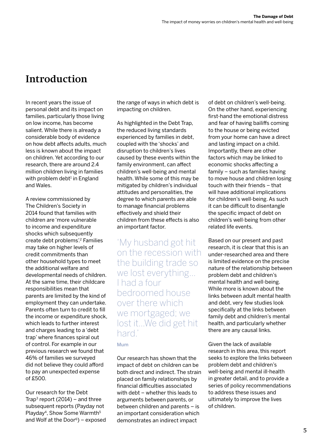## **Introduction**

In recent years the issue of personal debt and its impact on families, particularly those living on low income, has become salient. While there is already a considerable body of evidence on how debt affects adults, much less is known about the impact on children. Yet according to our research, there are around 2.4 million children living in families with problem debt<sup>1</sup> in England and Wales.

A review commissioned by The Children's Society in 2014 found that families with children are 'more vulnerable to income and expenditure shocks which subsequently create debt problems'.2 Families may take on higher levels of credit commitments than other household types to meet the additional welfare and developmental needs of children. At the same time, their childcare responsibilities mean that parents are limited by the kind of employment they can undertake. Parents often turn to credit to fill the income or expenditure shock, which leads to further interest and charges leading to a 'debt trap' where finances spiral out of control. For example in our previous research we found that 46% of families we surveyed did not believe they could afford to pay an unexpected expense of £500.

Our research for the Debt Trap<sup>3</sup> report (2014) – and three subsequent reports (Payday not Playday<sup>4</sup>, Show Some Warmth<sup>5</sup> and Wolf at the Door $6$ ) – exposed the range of ways in which debt is impacting on children.

As highlighted in the Debt Trap, the reduced living standards experienced by families in debt, coupled with the 'shocks' and disruption to children's lives caused by these events within the family environment, can affect children's well-being and mental health. While some of this may be mitigated by children's individual attitudes and personalities, the degree to which parents are able to manage financial problems effectively and shield their children from these effects is also an important factor.

'My husband got hit on the recession with the building trade so we lost everything… I had a four bedroomed house over there which we mortgaged; we lost it…We did get hit hard.'

Mum

Our research has shown that the impact of debt on children can be both direct and indirect. The strain placed on family relationships by financial difficulties associated with debt – whether this leads to arguments between parents, or between children and parents – is an important consideration which demonstrates an indirect impact

of debt on children's well-being. On the other hand, experiencing first-hand the emotional distress and fear of having bailiffs coming to the house or being evicted from your home can have a direct and lasting impact on a child. Importantly, there are other factors which may be linked to economic shocks affecting a family – such as families having to move house and children losing touch with their friends – that will have additional implications for children's well-being. As such it can be difficult to disentangle the specific impact of debt on children's well-being from other related life events.

Based on our present and past research, it is clear that this is an under-researched area and there is limited evidence on the precise nature of the relationship between problem debt and children's mental health and well-being. While more is known about the links between adult mental health and debt, very few studies look specifically at the links between family debt and children's mental health, and particularly whether there are any causal links.

Given the lack of available research in this area, this report seeks to explore the links between problem debt and children's well-being and mental ill-health in greater detail, and to provide a series of policy recommendations to address these issues and ultimately to improve the lives of children.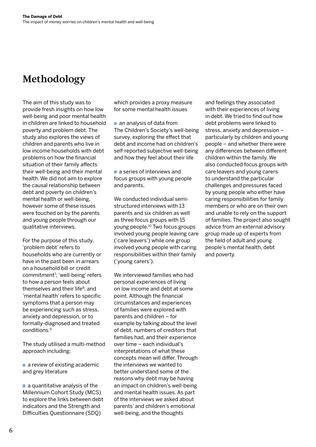# **Methodology**

The aim of this study was to provide fresh insights on how low well-being and poor mental health in children are linked to household poverty and problem debt. The study also explores the views of children and parents who live in low income households with debt problems on how the financial situation of their family affects their well-being and their mental health. We did not aim to explore the causal relationship between debt and poverty on children's mental health or well-being, however some of these issues were touched on by the parents and young people through our qualitative interviews.

For the purpose of this study, 'problem debt' refers to households who are currently or have in the past been in arrears on a household bill or credit commitment7 ; 'well-being' refers to how a person feels about themselves and their life<sup>8</sup>; and 'mental health' refers to specific symptoms that a person may be experiencing such as stress, anxiety and depression, or to formally-diagnosed and treated conditions.9

The study utilised a multi-method approach including:

a review of existing academic and grey literature

 $\blacksquare$  a quantitative analysis of the Millennium Cohort Study (MCS) to explore the links between debt indicators and the Strength and Difficulties Questionnaire (SDQ)

which provides a proxy measure for some mental health issues

- an analysis of data from The Children's Society's well-being survey, exploring the effect that debt and income had on children's self-reported subjective well-being and how they feel about their life
- a series of interviews and focus groups with young people and parents.

We conducted individual semistructured interviews with 13 parents and six children as well as three focus groups with 15 young people.10 Two focus groups involved young people leaving care ('care leavers') while one group involved young people with caring responsibilities within their family ('young carers').

We interviewed families who had personal experiences of living on low income and debt at some point. Although the financial circumstances and experiences of families were explored with parents and children – for example by talking about the level of debt, numbers of creditors that families had, and their experience over time – each individual's interpretations of what these concepts mean will differ. Through the interviews we wanted to better understand some of the reasons why debt may be having an impact on children's well-being and mental health issues. As part of the interviews we asked about parents' and children's emotional well-being, and the thoughts

and feelings they associated with their experiences of living in debt. We tried to find out how debt problems were linked to stress, anxiety and depression – particularly by children and young people – and whether there were any differences between different children within the family. We also conducted focus groups with care leavers and young carers to understand the particular challenges and pressures faced by young people who either have caring responsibilities for family members or who are on their own and unable to rely on the support of families. The project also sought advice from an external advisory group made up of experts from the field of adult and young people's mental health, debt and poverty.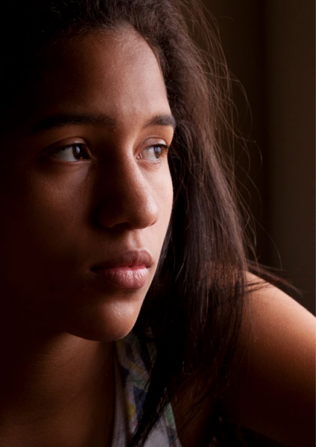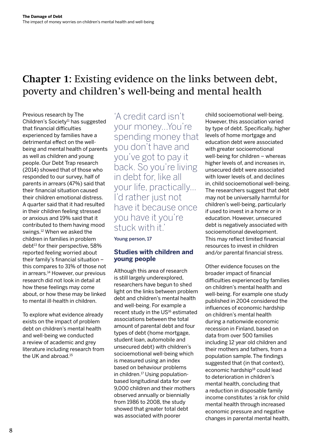# **Chapter 1:** Existing evidence on the links between debt, poverty and children's well-being and mental health

Previous research by The Children's Society<sup>11</sup> has suggested that financial difficulties experienced by families have a detrimental effect on the wellbeing and mental health of parents as well as children and young people. Our Debt Trap research (2014) showed that of those who responded to our survey, half of parents in arrears (47%) said that their financial situation caused their children emotional distress. A quarter said that it had resulted in their children feeling stressed or anxious and 19% said that it contributed to them having mood swings.12 When we asked the children in families in problem debt<sup>13</sup> for their perspective, 58% reported feeling worried about their family's financial situation – this compares to 31% of those not in arrears.14 However, our previous research did not look in detail at how these feelings may come about, or how these may be linked to mental ill-health in children.

To explore what evidence already exists on the impact of problem debt on children's mental health and well-being we conducted a review of academic and grey literature including research from the UK and abroad.15

'A credit card isn't your money...You're spending money that you don't have and you've got to pay it back. So you're living in debt for, like all your life, practically… I'd rather just not have it because once you have it you're stuck with it.'

Young person, 17

#### **Studies with children and young people**

Although this area of research is still largely underexplored, researchers have begun to shed light on the links between problem debt and children's mental health and well-being. For example a recent study in the US<sup>16</sup> estimated associations between the total amount of parental debt and four types of debt (home mortgage, student loan, automobile and unsecured debt) with children's socioemotional well-being which is measured using an index based on behaviour problems in children.17 Using populationbased longitudinal data for over 9,000 children and their mothers observed annually or biennially from 1986 to 2008, the study showed that greater total debt was associated with poorer

child socioemotional well-being. However, this association varied by type of debt. Specifically, higher levels of home mortgage and education debt were associated with greater socioemotional well-being for children – whereas higher levels of, and increases in, unsecured debt were associated with lower levels of, and declines in, child socioemotional well-being. The researchers suggest that debt may not be universally harmful for children's well-being, particularly if used to invest in a home or in education. However, unsecured debt is negatively associated with socioemotional development. This may reflect limited financial resources to invest in children and/or parental financial stress.

Other evidence focuses on the broader impact of financial difficulties experienced by families on children's mental health and well-being. For example one study published in 2004 considered the influences of economic hardship on children's mental health during a nationwide economic recession in Finland, based on data from over 500 families including 12 year old children and their mothers and fathers, from a population sample. The findings suggested that (in that context), economic hardship<sup>18</sup> could lead to deterioration in children's mental health, concluding that a reduction in disposable family income constitutes 'a risk for child mental health through increased economic pressure and negative changes in parental mental health,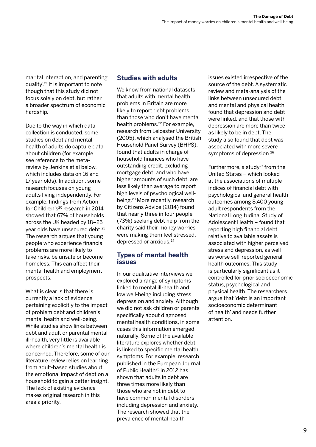marital interaction, and parenting quality'.19 It is important to note though that this study did not focus solely on debt, but rather a broader spectrum of economic hardship.

Due to the way in which data collection is conducted, some studies on debt and mental health of adults do capture data about children (for example see reference to the metareview by Jenkins et al below, which includes data on 16 and 17 year olds). In addition, some research focuses on young adults living independently. For example, findings from Action for Children's<sup>20</sup> research in 2014 showed that 67% of households across the UK headed by 18–25 year olds have unsecured debt.<sup>21</sup> The research argues that young people who experience financial problems are more likely to take risks, be unsafe or become homeless. This can affect their mental health and employment prospects.

What is clear is that there is currently a lack of evidence pertaining explicitly to the impact of problem debt and children's mental health and well-being. While studies show links between debt and adult or parental mental ill-health, very little is available where children's mental health is concerned. Therefore, some of our literature review relies on learning from adult-based studies about the emotional impact of debt on a household to gain a better insight. The lack of existing evidence makes original research in this area a priority.

#### **Studies with adults**

We know from national datasets that adults with mental health problems in Britain are more likely to report debt problems than those who don't have mental health problems.<sup>22</sup> For example, research from Leicester University (2005), which analysed the British Household Panel Survey (BHPS), found that adults in charge of household finances who have outstanding credit, excluding mortgage debt, and who have higher amounts of such debt, are less likely than average to report high levels of psychological wellbeing.23 More recently, research by Citizens Advice (2014) found that nearly three in four people (73%) seeking debt help from the charity said their money worries were making them feel stressed, depressed or anxious.24

#### **Types of mental health issues**

In our qualitative interviews we explored a range of symptoms linked to mental ill-health and low well-being including stress, depression and anxiety. Although we did not ask children or parents specifically about diagnosed mental health conditions, in some cases this information emerged naturally. Some of the available literature explores whether debt is linked to specific mental health symptoms. For example, research published in the European Journal of Public Health<sup>25</sup> in 2012 has shown that adults in debt are three times more likely than those who are not in debt to have common mental disorders including depression and anxiety. The research showed that the prevalence of mental health

issues existed irrespective of the source of the debt. A systematic review and meta-analysis of the links between unsecured debt and mental and physical health found that depression and debt were linked, and that those with depression are more than twice as likely to be in debt. The study also found that debt was associated with more severe symptoms of depression.<sup>26</sup>

Furthermore, a study<sup>27</sup> from the United States – which looked at the associations of multiple indices of financial debt with psychological and general health outcomes among 8,400 young adult respondents from the National Longitudinal Study of Adolescent Health – found that reporting high financial debt relative to available assets is associated with higher perceived stress and depression, as well as worse self-reported general health outcomes. This study is particularly significant as it controlled for prior socioeconomic status, psychological and physical health. The researchers argue that 'debt is an important socioeconomic determinant of health' and needs further attention.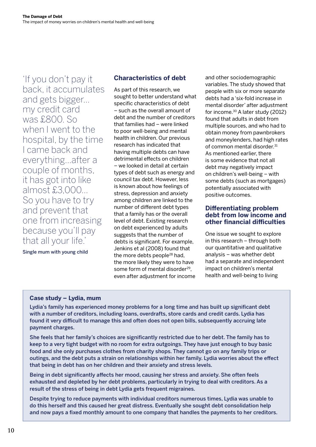'If you don't pay it back, it accumulates and gets bigger… my credit card was £800. So when I went to the hospital, by the time I came back and everything…after a couple of months, it has got into like almost £3,000… So you have to try and prevent that one from increasing because you'll pay that all your life.'

Single mum with young child

#### **Characteristics of debt**

As part of this research, we sought to better understand what specific characteristics of debt – such as the overall amount of debt and the number of creditors that families had – were linked to poor well-being and mental health in children. Our previous research has indicated that having multiple debts can have detrimental effects on children – we looked in detail at certain types of debt such as energy and council tax debt. However, less is known about how feelings of stress, depression and anxiety among children are linked to the number of different debt types that a family has or the overall level of debt. Existing research on debt experienced by adults suggests that the number of debts is significant. For example, Jenkins et al (2008) found that the more debts people<sup>28</sup> had, the more likely they were to have some form of mental disorder<sup>29</sup>, even after adjustment for income

and other sociodemographic variables. The study showed that people with six or more separate debts had a 'six-fold increase in mental disorder' after adjustment for income.30 A later study (2012) found that adults in debt from multiple sources, and who had to obtain money from pawnbrokers and moneylenders, had high rates of common mental disorder.<sup>31</sup> As mentioned earlier, there is some evidence that not all debt may negatively impact on children's well-being – with some debts (such as mortgages) potentially associated with positive outcomes.

#### **Differentiating problem debt from low income and other financial difficulties**

One issue we sought to explore in this research – through both our quantitative and qualitative analysis – was whether debt had a separate and independent impact on children's mental health and well-being to living

#### **Case study – Lydia, mum**

Lydia's family has experienced money problems for a long time and has built up significant debt with a number of creditors, including loans, overdrafts, store cards and credit cards. Lydia has found it very difficult to manage this and often does not open bills, subsequently accruing late payment charges.

She feels that her family's choices are significantly restricted due to her debt. The family has to keep to a very tight budget with no room for extra outgoings. They have just enough to buy basic food and she only purchases clothes from charity shops. They cannot go on any family trips or outings, and the debt puts a strain on relationships within her family. Lydia worries about the effect that being in debt has on her children and their anxiety and stress levels.

Being in debt significantly affects her mood, causing her stress and anxiety. She often feels exhausted and depleted by her debt problems, particularly in trying to deal with creditors. As a result of the stress of being in debt Lydia gets frequent migraines.

Despite trying to reduce payments with individual creditors numerous times, Lydia was unable to do this herself and this caused her great distress. Eventually she sought debt consolidation help and now pays a fixed monthly amount to one company that handles the payments to her creditors.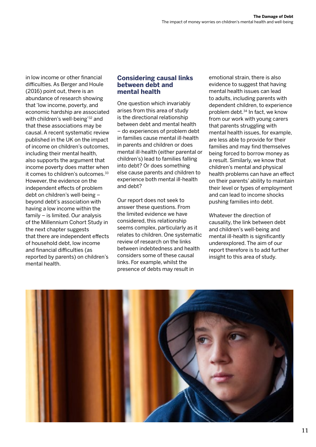in low income or other financial difficulties. As Berger and Houle (2016) point out, there is an abundance of research showing that 'low income, poverty, and economic hardship are associated with children's well-being'<sup>32</sup> and that these associations may be causal. A recent systematic review published in the UK on the impact of income on children's outcomes, including their mental health, also supports the argument that income poverty does matter when it comes to children's outcomes.<sup>33</sup> However, the evidence on the independent effects of problem debt on children's well-being – beyond debt's association with having a low income within the family – is limited. Our analysis of the Millennium Cohort Study in the next chapter suggests that there are independent effects of household debt, low income and financial difficulties (as reported by parents) on children's mental health.

#### **Considering causal links between debt and mental health**

One question which invariably arises from this area of study is the directional relationship between debt and mental health – do experiences of problem debt in families cause mental ill-health in parents and children or does mental ill-health (either parental or children's) lead to families falling into debt? Or does something else cause parents and children to experience both mental ill-health and debt?

Our report does not seek to answer these questions. From the limited evidence we have considered, this relationship seems complex, particularly as it relates to children. One systematic review of research on the links between indebtedness and health considers some of these causal links. For example, whilst the presence of debts may result in

emotional strain, there is also evidence to suggest that having mental health issues can lead to adults, including parents with dependent children, to experience problem debt.34 In fact, we know from our work with young carers that parents struggling with mental health issues, for example, are less able to provide for their families and may find themselves being forced to borrow money as a result. Similarly, we know that children's mental and physical health problems can have an effect on their parents' ability to maintain their level or types of employment and can lead to income shocks pushing families into debt.

Whatever the direction of causality, the link between debt and children's well-being and mental ill-health is significantly underexplored. The aim of our report therefore is to add further insight to this area of study.

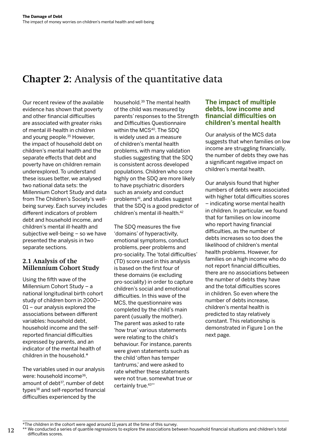### **Chapter 2:** Analysis of the quantitative data

Our recent review of the available evidence has shown that poverty and other financial difficulties are associated with greater risks of mental ill-health in children and young people.35 However, the impact of household debt on children's mental health and the separate effects that debt and poverty have on children remain underexplored. To understand these issues better, we analysed two national data sets: the Millennium Cohort Study and data from The Children's Society's wellbeing survey. Each survey includes different indicators of problem debt and household income, and children's mental ill-health and subjective well-being – so we have presented the analysis in two separate sections.

#### **2.1 Analysis of the Millennium Cohort Study**

Using the fifth wave of the Millennium Cohort Study – a national longitudinal birth cohort study of children born in 2000– 01 – our analysis explored the associations between different variables: household debt, household income and the selfreported financial difficulties expressed by parents, and an indicator of the mental health of children in the household.\*

The variables used in our analysis were: household income<sup>36</sup>, amount of debt<sup>37</sup>, number of debt types<sup>38</sup> and self-reported financial difficulties experienced by the

household.39 The mental health of the child was measured by parents' responses to the Strength and Difficulties Questionnaire within the MCS<sup>40</sup>. The SDO is widely used as a measure of children's mental health problems, with many validation studies suggesting that the SDQ is consistent across developed populations. Children who score highly on the SDQ are more likely to have psychiatric disorders such as anxiety and conduct problems41, and studies suggest that the SDQ is a good predictor of children's mental ill-health.42

The SDQ measures the five 'domains' of hyperactivity, emotional symptoms, conduct problems, peer problems and pro-sociality. The 'total difficulties' (TD) score used in this analysis is based on the first four of these domains (ie excluding pro-sociality) in order to capture children's social and emotional difficulties. In this wave of the MCS, the questionnaire was completed by the child's main parent (usually the mother). The parent was asked to rate 'how true' various statements were relating to the child's behaviour. For instance, parents were given statements such as the child 'often has temper tantrums,' and were asked to rate whether these statements were not true, somewhat true or certainly true. 43\*\*

#### **The impact of multiple debts, low income and financial difficulties on children's mental health**

Our analysis of the MCS data suggests that when families on low income are struggling financially, the number of debts they owe has a significant negative impact on children's mental health.

Our analysis found that higher numbers of debts were associated with higher total difficulties scores – indicating worse mental health in children. In particular, we found that for families on low income who report having financial difficulties, as the number of debts increases so too does the likelihood of children's mental health problems. However, for families on a high income who do not report financial difficulties, there are no associations between the number of debts they have and the total difficulties scores in children. So even where the number of debts increase, children's mental health is predicted to stay relatively constant. This relationship is demonstrated in Figure 1 on the next page.

<sup>\*</sup>The children in the cohort were aged around 11 years at the time of this survey.

<sup>12</sup> We conducted a series of quantile regressions to explore the associations between household financial situations and children's total difficulties scores.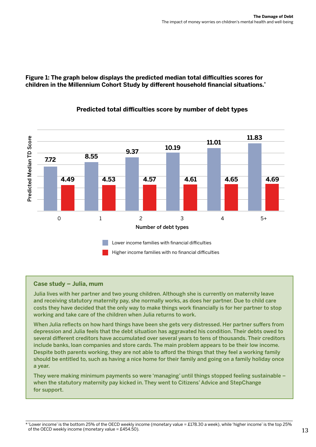#### **Figure 1: The graph below displays the predicted median total difficulties scores for children in the Millennium Cohort Study by different household financial situations.\***



#### **Predicted total difficulties score by number of debt types**

#### **Case study – Julia, mum**

Julia lives with her partner and two young children. Although she is currently on maternity leave and receiving statutory maternity pay, she normally works, as does her partner. Due to child care costs they have decided that the only way to make things work financially is for her partner to stop working and take care of the children when Julia returns to work.

When Julia reflects on how hard things have been she gets very distressed. Her partner suffers from depression and Julia feels that the debt situation has aggravated his condition. Their debts owed to several different creditors have accumulated over several years to tens of thousands. Their creditors include banks, loan companies and store cards. The main problem appears to be their low income. Despite both parents working, they are not able to afford the things that they feel a working family should be entitled to, such as having a nice home for their family and going on a family holiday once a year.

They were making minimum payments so were 'managing' until things stopped feeling sustainable – when the statutory maternity pay kicked in. They went to Citizens' Advice and StepChange for support.

<sup>\*&#</sup>x27;Lower income' is the bottom 25% of the OECD weekly income (monetary value = £178.30 a week), while 'higher income' is the top 25% of the OECD weekly income (monetary value =  $£454.50$ ).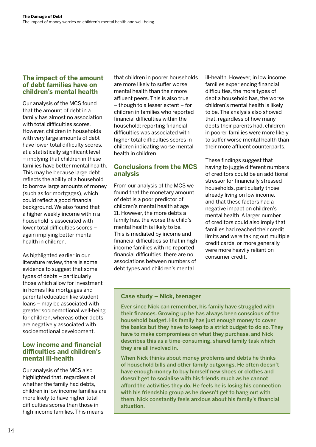#### **The impact of the amount of debt families have on children's mental health**

Our analysis of the MCS found that the amount of debt in a family has almost no association with total difficulties scores. However, children in households with very large amounts of debt have lower total difficulty scores, at a statistically significant level – implying that children in these families have better mental health. This may be because large debt reflects the ability of a household to borrow large amounts of money (such as for mortgages), which could reflect a good financial background. We also found that a higher weekly income within a household is associated with lower total difficulties scores – again implying better mental health in children.

As highlighted earlier in our literature review, there is some evidence to suggest that some types of debts – particularly those which allow for investment in homes like mortgages and parental education like student loans – may be associated with greater socioemotional well-being for children, whereas other debts are negatively associated with socioemotional development.

#### **Low income and financial difficulties and children's mental ill-health**

Our analysis of the MCS also highlighted that, regardless of whether the family had debts, children in low income families are more likely to have higher total difficulties scores than those in high income families. This means

that children in poorer households are more likely to suffer worse mental health than their more affluent peers. This is also true – though to a lesser extent – for children in families who reported financial difficulties within the household; reporting financial difficulties was associated with higher total difficulties scores in children indicating worse mental health in children.

#### **Conclusions from the MCS analysis**

From our analysis of the MCS we found that the monetary amount of debt is a poor predictor of children's mental health at age 11. However, the more debts a family has, the worse the child's mental health is likely to be. This is mediated by income and financial difficulties so that in high income families with no reported financial difficulties, there are no associations between numbers of debt types and children's mental

ill-health. However, in low income families experiencing financial difficulties, the more types of debt a household has, the worse children's mental health is likely to be. The analysis also showed that, regardless of how many debts their parents had, children in poorer families were more likely to suffer worse mental health than their more affluent counterparts.

These findings suggest that having to juggle different numbers of creditors could be an additional stressor for financially stressed households, particularly those already living on low income, and that these factors had a negative impact on children's mental health. A larger number of creditors could also imply that families had reached their credit limits and were taking out multiple credit cards, or more generally were more heavily reliant on consumer credit.

#### **Case study – Nick, teenager**

Ever since Nick can remember, his family have struggled with their finances. Growing up he has always been conscious of the household budget. His family has just enough money to cover the basics but they have to keep to a strict budget to do so. They have to make compromises on what they purchase, and Nick describes this as a time-consuming, shared family task which they are all involved in.

When Nick thinks about money problems and debts he thinks of household bills and other family outgoings. He often doesn't have enough money to buy himself new shoes or clothes and doesn't get to socialise with his friends much as he cannot afford the activities they do. He feels he is losing his connection with his friendship group as he doesn't get to hang out with them. Nick constantly feels anxious about his family's financial situation.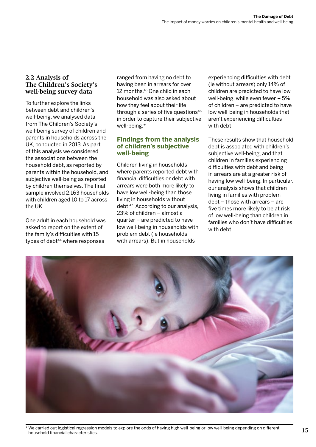#### **2.2 Analysis of The Children's Society's well-being survey data**

To further explore the links between debt and children's well-being, we analysed data from The Children's Society's well-being survey of children and parents in households across the UK, conducted in 2013. As part of this analysis we considered the associations between the household debt, as reported by parents within the household, and subjective well-being as reported by children themselves. The final sample involved 2,163 households with children aged 10 to 17 across the UK.

One adult in each household was asked to report on the extent of the family's difficulties with 15 types of debt<sup>44</sup> where responses

ranged from having no debt to having been in arrears for over 12 months <sup>45</sup> One child in each household was also asked about how they feel about their life through a series of five questions<sup>46</sup> in order to capture their subjective well-being.\*

#### **Findings from the analysis of children's subjective well-being**

Children living in households where parents reported debt with financial difficulties or debt with arrears were both more likely to have low well-being than those living in households without debt.47 According to our analysis, 23% of children – almost a quarter – are predicted to have low well-being in households with problem debt (ie households with arrears). But in households

experiencing difficulties with debt (ie without arrears) only 14% of children are predicted to have low well-being, while even fewer – 5% of children – are predicted to have low well-being in households that aren't experiencing difficulties with debt.

These results show that household debt is associated with children's subjective well-being, and that children in families experiencing difficulties with debt and being in arrears are at a greater risk of having low well-being. In particular, our analysis shows that children living in families with problem debt – those with arrears – are five times more likely to be at risk of low well-being than children in families who don't have difficulties with debt.

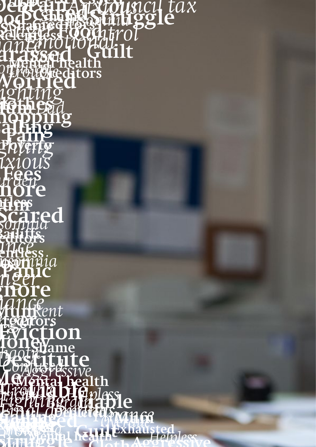**The Damage of Debt** The impact of money world in the induced and well-being and well-being and well-**Harassed Fighting Calling Calling**<br>Calling Calling<br>String 2 Te Struggle **Liverpresent Mandeler<br>Final demands<br>Final demand computer Depleted Ring ring Mental healthExhausted** *Helpless Control Overdue Burden* **MGS Debt Guilt Gui**<br>dr **Supping Struggle Eviction Destitute** Harassed **Ifore Index** *Anxious* **Emotional** *Anxious Anxious Finance Council tax* **Fire<br>11162<br>Entres** *Finance* **rereges**<br>*Ance* **Antanie Gifforde Lui a** *Anger Anger* **Creditors** *Fighting* **Poverty Fighting Scenare**<br>Shameerika **TOIISY**ame **Bailiffs Mental health Mental health Relentless Relentless Relentless Calledors**<br>Cultures **Creditors** LShb **Biskapidid** *Helpless* **Mathesa** *Burden* **Elikony**<br>Friothi *Rent Rent Confused Trouble* **Confused** *Insomnia Insomnia* **Liable Pessive**<br>**Liable Mental hea**<br>Liable Trouble Worred **Scared Schiffers**<br>Scared Based<br>Schared Hotel **Panici Food Pain**<br>Fain **Pain Fees F**oney **Calling STRASSED Mummmmm Mummer** *Aggressive* **Loan** 

**ClothesAggressive**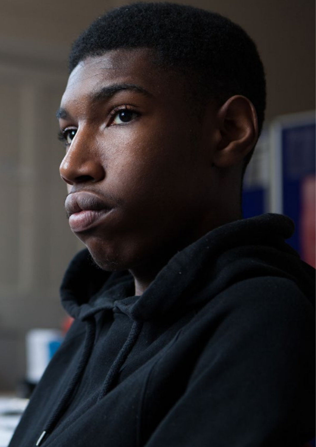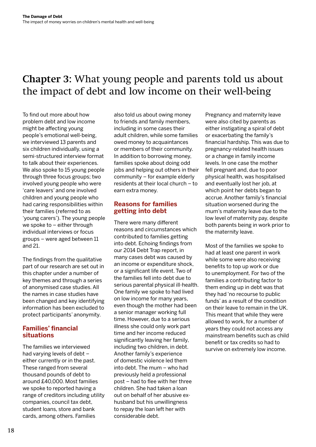## **Chapter 3:** What young people and parents told us about the impact of debt and low income on their well-being

To find out more about how problem debt and low income might be affecting young people's emotional well-being, we interviewed 13 parents and six children individually, using a semi-structured interview format to talk about their experiences. We also spoke to 15 young people through three focus groups; two involved young people who were 'care leavers' and one involved children and young people who had caring responsibilities within their families (referred to as 'young carers'). The young people we spoke to – either through individual interviews or focus groups – were aged between 11 and 21.

The findings from the qualitative part of our research are set out in this chapter under a number of key themes and through a series of anonymised case studies. All the names in case studies have been changed and key identifying information has been excluded to protect participants' anonymity.

#### **Families' financial situations**

The families we interviewed had varying levels of debt – either currently or in the past. These ranged from several thousand pounds of debt to around £40,000. Most families we spoke to reported having a range of creditors including utility companies, council tax debt, student loans, store and bank cards, among others. Families

also told us about owing money to friends and family members, including in some cases their adult children, while some families owed money to acquaintances or members of their community. In addition to borrowing money, families spoke about doing odd jobs and helping out others in their community – for example elderly residents at their local church – to earn extra money.

#### **Reasons for families getting into debt**

There were many different reasons and circumstances which contributed to families getting into debt. Echoing findings from our 2014 Debt Trap report, in many cases debt was caused by an income or expenditure shock, or a significant life event. Two of the families fell into debt due to serious parental physical ill-health. One family we spoke to had lived on low income for many years, even though the mother had been a senior manager working full time. However, due to a serious illness she could only work part time and her income reduced significantly leaving her family, including two children, in debt. Another family's experience of domestic violence led them into debt. The mum – who had previously held a professional post – had to flee with her three children. She had taken a loan out on behalf of her abusive exhusband but his unwillingness to repay the loan left her with considerable debt.

Pregnancy and maternity leave were also cited by parents as either instigating a spiral of debt or exacerbating the family's financial hardship. This was due to pregnancy-related health issues or a change in family income levels. In one case the mother fell pregnant and, due to poor physical health, was hospitalised and eventually lost her job, at which point her debts began to accrue. Another family's financial situation worsened during the mum's maternity leave due to the low level of maternity pay, despite both parents being in work prior to the maternity leave.

Most of the families we spoke to had at least one parent in work while some were also receiving benefits to top up work or due to unemployment. For two of the families a contributing factor to them ending up in debt was that they had 'no recourse to public funds' as a result of the condition on their leave to remain in the UK. This meant that while they were allowed to work, for a number of years they could not access any mainstream benefits such as child benefit or tax credits so had to survive on extremely low income.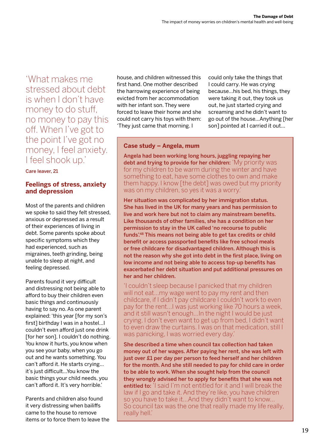'What makes me stressed about debt is when I don't have money to do stuff, no money to pay this off. When I've got to the point I've got no money, I feel anxiety. I feel shook up.'

Care leaver, 21

#### **Feelings of stress, anxiety and depression**

Most of the parents and children we spoke to said they felt stressed, anxious or depressed as a result of their experiences of living in debt. Some parents spoke about specific symptoms which they had experienced, such as migraines, teeth grinding, being unable to sleep at night, and feeling depressed.

Parents found it very difficult and distressing not being able to afford to buy their children even basic things and continuously having to say no. As one parent explained: 'this year [for my son's first] birthday I was in a hostel…I couldn't even afford just one drink [for her son]. I couldn't do nothing. You know it hurts, you know when you see your baby, when you go out and he wants something. You can't afford it. He starts crying… it's just difficult…You know the basic things your child needs, you can't afford it. It's very horrible.'

Parents and children also found it very distressing when bailiffs came to the house to remove items or to force them to leave the house, and children witnessed this first hand. One mother described the harrowing experience of being evicted from her accommodation with her infant son. They were forced to leave their home and she could not carry his toys with them: 'They just came that morning. I

could only take the things that I could carry. He was crying because…his bed, his things, they were taking it out, they took us out, he just started crying and screaming and he didn't want to go out of the house…Anything [her son] pointed at I carried it out...

#### **Case study – Angela, mum**

Angela had been working long hours, juggling repaying her debt and trying to provide for her children: 'My priority was for my children to be warm during the winter and have something to eat, have some clothes to own and make them happy. I know [the debt] was owed but my priority was on my children, so yes it was a worry.'

Her situation was complicated by her immigration status. She has lived in the UK for many years and has permission to live and work here but not to claim any mainstream benefits. Like thousands of other families, she has a condition on her permission to stay in the UK called 'no recourse to public funds'.48 This means not being able to get tax credits or child benefit or access passported benefits like free school meals or free childcare for disadvantaged children. Although this is not the reason why she got into debt in the first place, living on low income and not being able to access top-up benefits has exacerbated her debt situation and put additional pressures on her and her children.

'I couldn't sleep because I panicked that my children will not eat…my wage went to pay my rent and then childcare, if I didn't pay childcare I couldn't work to even pay for the rent…I was just working like 70 hours a week, and it still wasn't enough…In the night I would be just crying. I don't even want to get up from bed, I didn't want to even draw the curtains. I was on that medication, still I was panicking, I was worried every day.'

She described a time when council tax collection had taken money out of her wages. After paying her rent, she was left with just over £1 per day per person to feed herself and her children for the month. And she still needed to pay for child care in order to be able to work. When she sought help from the council they wrongly advised her to apply for benefits that she was not entitled to: 'I said I'm not entitled for it and I will break the law if I go and take it. And they're like, you have children so you have to take it…And they didn't want to know… So council tax was the one that really made my life really, really hell.'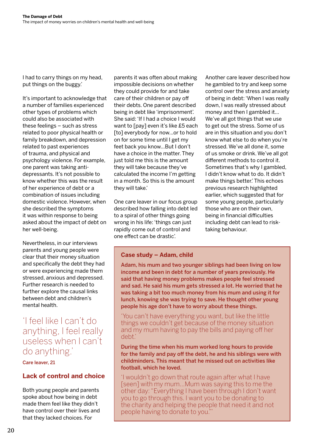I had to carry things on my head, put things on the buggy.'

It's important to acknowledge that a number of families experienced other types of problems which could also be associated with these feelings – such as stress related to poor physical health or family breakdown, and depression related to past experiences of trauma, and physical and psychology violence. For example, one parent was taking antidepressants. It's not possible to know whether this was the result of her experience of debt or a combination of issues including domestic violence. However, when she described the symptoms it was within response to being asked about the impact of debt on her well-being.

Nevertheless, in our interviews parents and young people were clear that their money situation and specifically the debt they had or were experiencing made them stressed, anxious and depressed. Further research is needed to further explore the causal links between debt and children's mental health.

### 'I feel like I can't do anything, I feel really useless when I can't do anything.'

Care leaver, 21

#### **Lack of control and choice**

Both young people and parents spoke about how being in debt made them feel like they didn't have control over their lives and that they lacked choices. For

parents it was often about making impossible decisions on whether they could provide for and take care of their children or pay off their debts. One parent described being in debt like 'imprisonment'. She said: 'If I had a choice I would want to [pay] even it's like £5 each [to] everybody for now...or to hold on for some time until I get my feet back you know…But I don't have a choice in the matter. They just told me this is the amount they will take because they've calculated the income I'm getting in a month. So this is the amount they will take.'

One care leaver in our focus group described how falling into debt led to a spiral of other things going wrong in his life: 'things can just rapidly come out of control and one effect can be drastic'.

Another care leaver described how he gambled to try and keep some control over the stress and anxiety of being in debt: 'When I was really down, I was really stressed about money and then I gambled it… We've all got things that we use to get out the stress. Some of us are in this situation and you don't know what else to do when you're stressed. We've all done it, some of us smoke or drink. We've all got different methods to control it. Sometimes that's why I gambled, I didn't know what to do. It didn't make things better.' This echoes previous research highlighted earlier, which suggested that for some young people, particularly those who are on their own, being in financial difficulties including debt can lead to risktaking behaviour.

#### **Case study – Adam, child**

Adam, his mum and two younger siblings had been living on low income and been in debt for a number of years previously. He said that having money problems makes people feel stressed and sad. He said his mum gets stressed a lot. He worried that he was taking a bit too much money from his mum and using it for lunch, knowing she was trying to save. He thought other young people his age don't have to worry about these things.

'You can't have everything you want, but like the little things we couldn't get because of the money situation and my mum having to pay the bills and paying off her debt.'

During the time when his mum worked long hours to provide for the family and pay off the debt, he and his siblings were with childminders. This meant that he missed out on activities like football, which he loved.

'I wouldn't go down that route again after what I have [seen] with my mum…Mum was saying this to me the other day: "Everything I have been through I don't want you to go through this. I want you to be donating to the charity and helping the people that need it and not people having to donate to you.'' '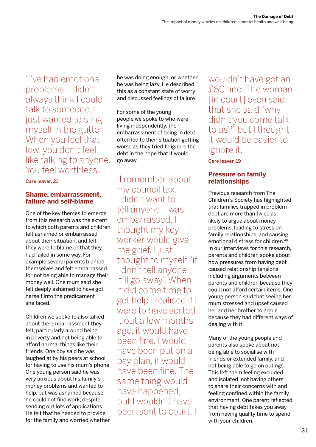'I've had emotional problems, I didn't always think I could talk to someone, I just wanted to sling myself in the gutter. When you feel that low, you don't feel like talking to anyone. You feel worthless.'

Care leaver, 21

#### **Shame, embarrassment, failure and self-blame**

One of the key themes to emerge from this research was the extent to which both parents and children felt ashamed or embarrassed about their situation, and felt they were to blame or that they had failed in some way. For example several parents blamed themselves and felt embarrassed for not being able to manage their money well. One mum said she felt deeply ashamed to have got herself into the predicament she faced.

Children we spoke to also talked about the embarrassment they felt, particularly around being in poverty and not being able to afford normal things like their friends. One boy said he was laughed at by his peers at school for having to use his mum's phone. One young person said he was very anxious about his family's money problems and wanted to help, but was ashamed because he could not find work, despite sending out lots of applications. He felt that he needed to provide for the family and worried whether

he was doing enough, or whether he was being lazy. He described this as a constant state of worry and discussed feelings of failure.

For some of the young people we spoke to who were living independently, the embarrassment of being in debt often led to their situation getting worse as they tried to ignore the debt in the hope that it would go away.

'I remember about my council tax, I didn't want to tell anyone, I was embarrassed, I thought my key worker would give me grief. I just thought to myself "if I don't tell anyone, it'll go away''. When it did come time to get help I realised if I were to have sorted it out a few months ago, it would have been fine. I would have been put on a pay plan, it would have been fine. The same thing would have happened, but I wouldn't have been sent to court, I

wouldn't have got an £80 fine. The woman [in court] even said that she said "why didn't you come talk to us?" but I thought it would be easier to ignore it.'

Care leaver, 19

#### **Pressure on family relationships**

Previous research from The Children's Society has highlighted that families trapped in problem debt are more than twice as likely to argue about money problems, leading to stress on family relationships, and causing emotional distress for children.49 In our interviews for this research, parents and children spoke about how pressures from having debt caused relationship tensions, including arguments between parents and children because they could not afford certain items. One young person said that seeing her mum stressed and upset caused her and her brother to argue because they had different ways of dealing with it.

Many of the young people and parents also spoke about not being able to socialise with friends or extended family, and not being able to go on outings. This left them feeling excluded and isolated, not having others to share their concerns with and feeling confined within the family environment. One parent reflected that having debt takes you away from having quality time to spend with your children.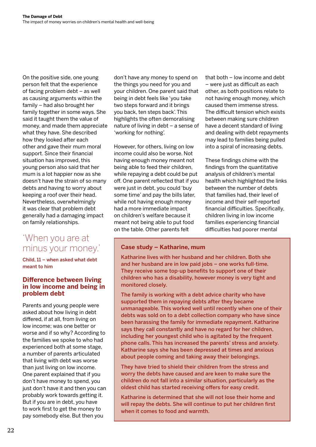On the positive side, one young person felt that the experience of facing problem debt – as well as causing arguments within the family – had also brought her family together in some ways. She said it taught them the value of money, and made them appreciate what they have. She described how they looked after each other and gave their mum moral support. Since their financial situation has improved, this young person also said that her mum is a lot happier now as she doesn't have the strain of so many debts and having to worry about keeping a roof over their head. Nevertheless, overwhelmingly it was clear that problem debt generally had a damaging impact on family relationships.

### 'When you are at minus your money.'

Child, 11 – when asked what debt meant to him

#### **Difference between living in low income and being in problem debt**

Parents and young people were asked about how living in debt differed, if at all, from living on low income; was one better or worse and if so why? According to the families we spoke to who had experienced both at some stage, a number of parents articulated that living with debt was worse than just living on low income. One parent explained that if you don't have money to spend, you just don't have it and then you can probably work towards getting it. But if you are in debt, you have to work first to get the money to pay somebody else. But then you

don't have any money to spend on the things you need for you and your children. One parent said that being in debt feels like 'you take two steps forward and it brings you back, ten steps back'. This highlights the often demoralising nature of living in debt – a sense of 'working for nothing'.

However, for others, living on low income could also be worse. Not having enough money meant not being able to feed their children, while repaying a debt could be put off. One parent reflected that if you were just in debt, you could 'buy some time' and pay the bills later, while not having enough money had a more immediate impact on children's welfare because it meant not being able to put food on the table. Other parents felt

that both – low income and debt – were just as difficult as each other, as both positions relate to not having enough money, which caused them immense stress. The difficult tension which exists between making sure children have a decent standard of living and dealing with debt repayments may lead to families being pulled into a spiral of increasing debts.

These findings chime with the findings from the quantitative analysis of children's mental health which highlighted the links between the number of debts that families had, their level of income and their self-reported financial difficulties. Specifically, children living in low income families experiencing financial difficulties had poorer mental

#### **Case study – Katharine, mum**

Katharine lives with her husband and her children. Both she and her husband are in low paid jobs – one works full-time. They receive some top-up benefits to support one of their children who has a disability, however money is very tight and monitored closely.

The family is working with a debt advice charity who have supported them in repaying debts after they became unmanageable. This worked well until recently when one of their debts was sold on to a debt collection company who have since been harassing the family for immediate repayment. Katharine says they call constantly and have no regard for her children, including her youngest child who is agitated by the frequent phone calls. This has increased the parents' stress and anxiety. Katharine says she has been depressed at times and anxious about people coming and taking away their belongings.

They have tried to shield their children from the stress and worry the debts have caused and are keen to make sure the children do not fall into a similar situation, particularly as the oldest child has started receiving offers for easy credit.

Katharine is determined that she will not lose their home and will repay the debts. She will continue to put her children first when it comes to food and warmth.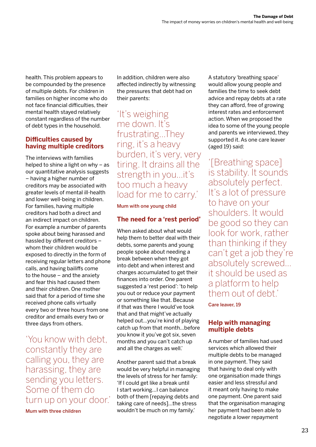health. This problem appears to be compounded by the presence of multiple debts. For children in families on higher income who do not face financial difficulties, their mental health stayed relatively constant regardless of the number of debt types in the household.

#### **Difficulties caused by having multiple creditors**

The interviews with families helped to shine a light on why – as our quantitative analysis suggests – having a higher number of creditors may be associated with greater levels of mental ill-health and lower well-being in children. For families, having multiple creditors had both a direct and an indirect impact on children. For example a number of parents spoke about being harassed and hassled by different creditors – whom their children would be exposed to directly in the form of receiving regular letters and phone calls, and having bailiffs come to the house – and the anxiety and fear this had caused them and their children. One mother said that for a period of time she received phone calls virtually every two or three hours from one creditor and emails every two or three days from others.

'You know with debt, constantly they are calling you, they are harassing, they are sending you letters. Some of them do turn up on your door.' In addition, children were also affected indirectly by witnessing the pressures that debt had on their parents:

'It's weighing me down. It's frustrating…They ring, it's a heavy burden, it's very, very tiring. It drains all the strength in you…it's too much a heavy load for me to carry.'

Mum with one young child

#### **The need for a 'rest period'**

When asked about what would help them to better deal with their debts, some parents and young people spoke about needing a break between when they got into debt and when interest and charges accumulated to get their finances into order. One parent suggested a 'rest period': 'to help you out or reduce your payment or something like that. Because if that was there I would've took that and that might've actually helped out…you're kind of playing catch up from that month…before you know it you've got six, seven months and you can't catch up and all the charges as well.'

Another parent said that a break would be very helpful in managing the levels of stress for her family: 'If I could get like a break until I start working…I can balance both of them [repaying debts and taking care of needs]…the stress wouldn't be much on my family.'

A statutory 'breathing space' would allow young people and families the time to seek debt advice and repay debts at a rate they can afford, free of growing interest rates and enforcement action. When we proposed the idea to some of the young people and parents we interviewed, they supported it. As one care leaver (aged 19) said:

'[Breathing space] is stability. It sounds absolutely perfect. It's a lot of pressure to have on your shoulders. It would be good so they can look for work, rather than thinking if they can't get a job they're absolutely screwed… it should be used as a platform to help them out of debt.'

Care leaver, 19

#### **Help with managing multiple debts**

A number of families had used services which allowed their multiple debts to be managed in one payment. They said that having to deal only with one organisation made things easier and less stressful and it meant only having to make one payment. One parent said that the organisation managing her payment had been able to negotiate a lower repayment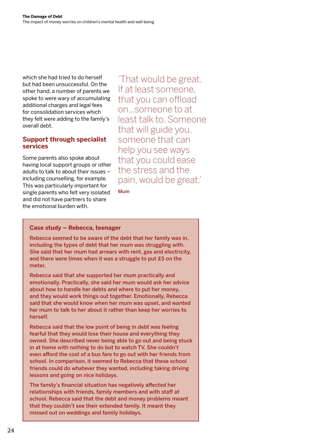which she had tried to do herself but had been unsuccessful. On the other hand, a number of parents we spoke to were wary of accumulating additional charges and legal fees for consolidation services which they felt were adding to the family's overall debt.

#### **Support through specialist services**

Some parents also spoke about having local support groups or other adults to talk to about their issues – including counselling, for example. This was particularly important for single parents who felt very isolated and did not have partners to share the emotional burden with.

'That would be great. If at least someone, that you can offload on…someone to at least talk to. Someone that will guide you, someone that can help you see ways that you could ease the stress and the pain, would be great.'

Mum

#### **Case study – Rebecca, teenager**

Rebecca seemed to be aware of the debt that her family was in, including the types of debt that her mum was struggling with. She said that her mum had arrears with rent, gas and electricity, and there were times when it was a struggle to put £5 on the meter.

Rebecca said that she supported her mum practically and emotionally. Practically, she said her mum would ask her advice about how to handle her debts and where to put her money, and they would work things out together. Emotionally, Rebecca said that she would know when her mum was upset, and wanted her mum to talk to her about it rather than keep her worries to herself.

Rebecca said that the low point of being in debt was feeling fearful that they would lose their house and everything they owned. She described never being able to go out and being stuck in at home with nothing to do but to watch TV. She couldn't even afford the cost of a bus fare to go out with her friends from school. In comparison, it seemed to Rebecca that these school friends could do whatever they wanted, including taking driving lessons and going on nice holidays.

The family's financial situation has negatively affected her relationships with friends, family members and with staff at school. Rebecca said that the debt and money problems meant that they couldn't see their extended family. It meant they missed out on weddings and family holidays.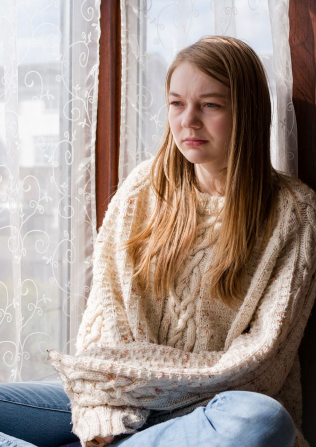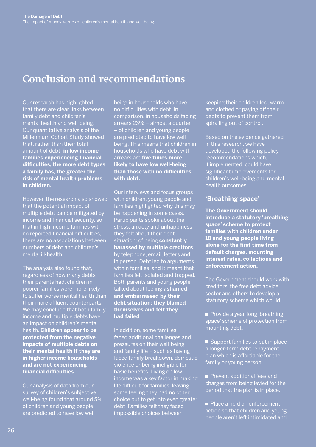### **Conclusion and recommendations**

Our research has highlighted that there are clear links between family debt and children's mental health and well-being. Our quantitative analysis of the Millennium Cohort Study showed that, rather than their total amount of debt, **in low income families experiencing financial difficulties, the more debt types a family has, the greater the risk of mental health problems in children.**

However, the research also showed that the potential impact of multiple debt can be mitigated by income and financial security, so that in high income families with no reported financial difficulties, there are no associations between numbers of debt and children's mental ill-health.

The analysis also found that, regardless of how many debts their parents had, children in poorer families were more likely to suffer worse mental health than their more affluent counterparts. We may conclude that both family income and multiple debts have an impact on children's mental health. **Children appear to be protected from the negative impacts of multiple debts on their mental health if they are in higher income households and are not experiencing financial difficulties.**

Our analysis of data from our survey of children's subjective well-being found that around 5% of children and young people are predicted to have low wellbeing in households who have no difficulties with debt. In comparison, in households facing arrears 23% – almost a quarter – of children and young people are predicted to have low wellbeing. This means that children in households who have debt with arrears are **five times more likely to have low well-being than those with no difficulties with debt.**

Our interviews and focus groups with children, young people and families highlighted why this may be happening in some cases. Participants spoke about the stress, anxiety and unhappiness they felt about their debt situation; of being **constantly harassed by multiple creditors** by telephone, email, letters and in person. Debt led to arguments within families, and it meant that families felt isolated and trapped. Both parents and young people talked about feeling **ashamed and embarrassed by their debt situation; they blamed themselves and felt they had failed**.

In addition, some families faced additional challenges and pressures on their well-being and family life – such as having faced family breakdown, domestic violence or being ineligible for basic benefits. Living on low income was a key factor in making life difficult for families, leaving some feeling they had no other choice but to get into even greater debt. Families felt they faced impossible choices between

keeping their children fed, warm and clothed or paying off their debts to prevent them from spiralling out of control.

Based on the evidence gathered in this research, we have developed the following policy recommendations which, if implemented, could have significant improvements for children's well-being and mental health outcomes:

#### **'Breathing space'**

**The Government should introduce a statutory 'breathing space' scheme to protect families with children under 18 and young people living alone for the first time from default charges, mounting interest rates, collections and enforcement action.** 

The Government should work with creditors, the free debt advice sector and others to develop a statutory scheme which would:

- Provide a year-long 'breathing' space' scheme of protection from mounting debt.
- $\blacksquare$  Support families to put in place a longer-term debt repayment plan which is affordable for the family or young person.
- Prevent additional fees and charges from being levied for the period that the plan is in place.
- Place a hold on enforcement action so that children and young people aren't left intimidated and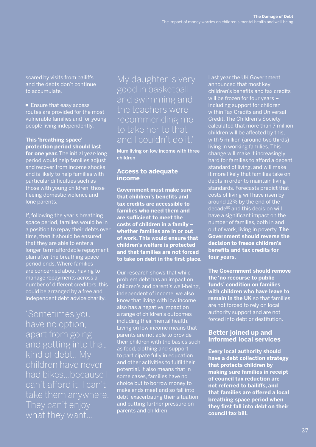scared by visits from bailiffs and the debts don't continue to accumulate.

Ensure that easy access routes are provided for the most vulnerable families and for young people living independently.

**This 'breathing space' protection period should last for one year.** The initial year-long period would help families adjust and recover from income shocks and is likely to help families with particular difficulties such as those with young children, those fleeing domestic violence and lone parents.

If, following the year's breathing space period, families would be in a position to repay their debts over time, then it should be ensured that they are able to enter a longer-term affordable repayment plan after the breathing space period ends. Where families are concerned about having to manage repayments across a number of different creditors, this could be arranged by a free and independent debt advice charity.

have no option, apart from going and getting into that kind of debt…My children have never had bikes…because I can't afford it. I can't take them anywhere. what they want…

### My daughter is very good in basketball and swimming and the teachers were recommending me to take her to that and I couldn't do it.'

Mum living on low income with three children

#### **Access to adequate income**

**Government must make sure that children's benefits and tax credits are accessible to families who need them and are sufficient to meet the costs of children in a family – whether families are in or out of work. This would ensure that children's welfare is protected and that families are not forced to take on debt in the first place.**

Our research shows that while problem debt has an impact on children's and parent's well-being, independent of income, we also know that living with low income also has a negative impact on a range of children's outcomes including their mental health. Living on low income means that parents are not able to provide their children with the basics such as food, clothing and support to participate fully in education and other activities to fulfil their potential. It also means that in some cases, families have no choice but to borrow money to make ends meet and so fall into debt, exacerbating their situation and putting further pressure on parents and children.

Last year the UK Government announced that most key children's benefits and tax credits will be frozen for four years – including support for children within Tax Credits and Universal Credit. The Children's Society calculated that more than 7 million children will be affected by this, with 5 million (around two thirds) living in working families. This change will make it increasingly hard for families to afford a decent standard of living, and will make it more likely that families take on debts in order to maintain living standards. Forecasts predict that costs of living will have risen by around 12% by the end of the decade50 and this decision will have a significant impact on the number of families, both in and out of work, living in poverty. **The Government should reverse the decision to freeze children's benefits and tax credits for four years.**

**The Government should remove the 'no recourse to public funds' condition on families with children who have leave to remain in the UK** so that families are not forced to rely on local authority support and are not forced into debt or destitution.

#### **Better joined up and informed local services**

**Every local authority should have a debt collection strategy that protects children by making sure families in receipt of council tax reduction are not referred to bailiffs, and that families are offered a local breathing space period when they first fall into debt on their council tax bill.**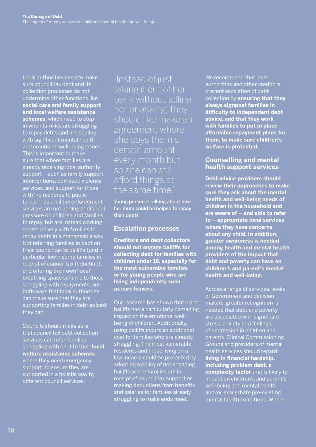Local authorities need to make sure council tax debt and its collection processes do not undermine other functions like **social care and family support and local welfare assistance schemes**, which need to step in when families are struggling to repay debts and are dealing with significant mental health and emotional well-being issues. This is important to make sure that where families are already receiving local authority support – such as family support interventions, domestic violence services, and support for those with 'no recourse to public funds' – council tax enforcement services are not adding additional pressure on children and families to repay, but are instead working constructively with families to repay debts in a manageable way. Not referring families in debt on their council tax to bailiffs (and in particular low income families in receipt of council tax reduction), and offering their own 'local' breathing space scheme to those struggling with repayments, are both ways that local authorities can make sure that they are supporting families in debt as best they can.

Councils should make sure that council tax debt collection services can refer families struggling with debt to their **local welfare assistance schemes** where they need emergency support, to ensure they are supported in a holistic way by different council services.

'Instead of just taking it out of her bank without telling her or asking, they should like make an agreement where she pays them a certain amount every month but so she can still afford things at the same time.'

Young person – talking about how her mum could be helped to repay their debts

#### **Escalation processes**

**Creditors and debt collectors should not engage bailiffs for collecting debt for families with children under 18, especially for the most vulnerable families or for young people who are living independently such as care leavers.** 

Our research has shown that using bailiffs has a particularly damaging impact on the emotional wellbeing of children. Additionally, using bailiffs incurs an additional cost for families who are already struggling. The most vulnerable residents and those living on a low income could be protected by adopting a policy of not engaging bailiffs where families are in receipt of council tax support or making deductions from benefits and salaries for families already struggling to make ends meet.

We recommend that local authorities and other creditors prevent escalation of debt collection by **ensuring that they always signpost families in difficulty to independent debt advice, and that they work with families to put in place affordable repayment plans for them, to make sure children's welfare is protected.**

#### **Counselling and mental health support services**

**Debt advice providers should review their approaches to make sure they ask about the mental health and well-being needs of children in the household and are aware of – and able to refer to – appropriate local services where they have concerns about any child. In addition, greater awareness is needed among health and mental health providers of the impact that debt and poverty can have on children's and parent's mental health and well-being.** 

Across a range of services, levels of Government and decisionmakers, greater recognition is needed that debt and poverty are associated with significant stress, anxiety and feelings of depression in children and parents. Clinical Commissioning Groups and providers of mental health services should regard **living in financial hardship, including problem debt, a complexity factor** that is likely to impact on children's and parent's well-being and mental health and/or exacerbate pre-existing mental health conditions. Where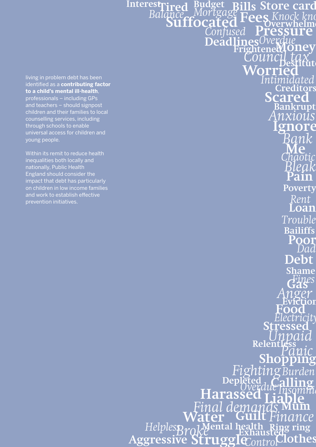living in problem debt has been identified as a **contributing factor to a child's mental ill-health**, professionals – including GPs and teachers – should signpost children and their families to local counselling services, including through schools to enable universal access for children and young people.

Within its remit to reduce health inequalities both locally and nationally, Public Health England should consider the impact that debt has particularly on children in low income families and work to establish effective prevention initiatives.

**The Damage of Debt**  $\text{N}\text{I}\text{I}\text{I}\text{I}\Omega$  is a children's money mental health and we have no children well-being  $\text{N}\Omega$ ring **Water Suffocated Harassed Ignore** *Anxious Bank Panic Unpaid Council tax Fighting* **Destitute Relent Creditors Eviction** *Dad Electricity Fines Chaotic Rent Trouble Intimidated* **Scared Food Money Calling Store card Deadlines Loan Debt Guilt Shopping Liable Pressure** *Finance Anger Bleak Final demands* **Shame elm Bankrupt Frightened Poverty Bailiffs Deplet Mental health Ring ring Exhausted** *Helpless Overdue Burden Confused Mortgage Insomnia Overdue* **Worried Me Fees Gas Pain Poor Stressed Mum**

**Struggle**

*Control*

*Helpless* 

 $\overline{\text{Aggressive}}$ 

**budget** 

**Tired Interest**

*Balance Knock knock*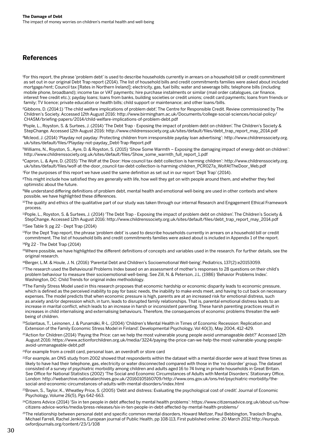#### **References**

1 For this report, the phrase 'problem debt' is used to describe households currently in arrears on a household bill or credit commitment as set out in our original Debt Trap report (2014). The list of household bills and credit commitments families were asked about included mortgage/rent; Council tax [Rates in Northern Ireland]; electricity, gas, fuel bills; water and sewerage bills; telephone bills (including mobile phone, broadband); income tax or VAT payments; hire purchase instalments or similar (mail order catalogues, car finance, interest free credit etc.); payday loans; loans from banks, building societies or credit unions; credit card payments; loans from friends or family; TV licence; private education or health bills; child support or maintenance; and other loans/bills.

2Gibbons, D. (2014:1) 'The child welfare implications of problem debt'. The Centre for Responsible Credit. Review commissioned by The Children's Society. Accessed 12th August 2016: http://www.birmingham.ac.uk/Documents/college-social-sciences/social-policy/ CHASM/briefing-papers/2014/child-welfare-implications-of-problem-debt.pdf

3Pople, L., Royston, S. & Surtees, J. (2014) 'The Debt Trap - Exposing the impact of problem debt on children'. The Children's Society & StepChange. Accessed 12th August 2016: http://www.childrenssociety.org.uk/sites/default/files/debt\_trap\_report\_may\_2014.pdf

4Mcleod, J. (2014) 'Playday not payday: Protecting children from irresponsible payday loan advertising': http://www.childrenssociety.org. uk/sites/default/files/Playday-not-payday\_Debt-Trap-Report.pdf

5Williams, N., Royston, S., Ayre, D. & Royston, S. (2015) 'Show Some Warmth – Exposing the damaging impact of energy debt on children': http://www.childrenssociety.org.uk/sites/default/files/Show\_some\_warmth\_full\_report\_1.pdf

6Capron, L. & Ayre, D. (2015) 'The Wolf at the Door: How council tax debt collection is harming children': http://www.childrenssociety.org. uk/sites/default/files/wolf-at-the-door\_council-tax-debt-collection-is-harming-children\_PCR027a\_WolfAtTheDoor\_Web.pdf

7 For the purposes of this report we have used the same definition as set out in our report 'Dept Trap' (2014).

8This might include how satisfied they are generally with life, how well they get on with people around them, and whether they feel optimistic about the future.

9We understand differing definitions of problem debt, mental health and emotional well-being are used in other contexts and where possible, we have highlighted these differences.

<sup>10</sup>The quality and ethics of the qualitative part of our study was taken through our internal Research and Engagement Ethical Framework process.

11Pople, L., Royston, S. & Surtees, J. (2014) 'The Debt Trap - Exposing the impact of problem debt on children'. The Children's Society & StepChange. Accessed 12th August 2016: http://www.childrenssociety.org.uk/sites/default/files/debt\_trap\_report\_may\_2014.pdf

12See Table 9, pg 22 - Dept Trap (2014)

<sup>13</sup>For the Dept Trap report, the phrase 'problem debt' is used to describe households currently in arrears on a household bill or credit commitment. The list of household bills and credit commitments families were asked about is included in Appendix 1 of the report.

14Pg 22 - The Debt Trap (2014)

15Where possible, we have highlighted the different definitions of concepts and variables used in the research. For further details, see the original research.

16Berger, L.M. & Houle, J. N. (2016) 'Parental Debt and Children's Socioemotional Well-being'. Pediatrics, 137(2):e20153059.

<sup>17</sup>The research used the Behavioural Problems Index based on an assessment of mother's responses to 28 questions on their child's problem behaviour to measure their socioemotional well-being. See Zill, N. & Peterson, J.L. (1986) 'Behavior Problems Index'. Washington, DC: Child Trends for original index methodology.

<sup>18</sup>The Family Stress Model used in this research proposes that economic hardship or economic disparity leads to economic pressure, which is defined as the perceived inability to pay for basic needs, the inability to make ends meet, and having to cut back on necessary expenses. The model predicts that when economic pressure is high, parents are at an increased risk for emotional distress, such as anxiety and/or depression which, in turn, leads to disrupted family relationships. That is, parental emotional distress leads to an increase in marital conflict, which leads to an increase in harsh or inconsistent parenting. These harsh parenting practices result in increases in child internalising and externalising behaviours. Therefore, the consequences of economic problems threaten the wellbeing of children.

19Solantaus, T., Leinonen, J. & Punamäki, R-L. (2004) 'Children's Mental Health in Times of Economic Recession: Replication and Extension of the Family Economic Stress Model in Finland'. Developmental Psychology, Vol 40(3), May 2004, 412-429.

20Action for Children (2014) 'Paying the Price: can we help the most vulnerable young people avoid unmanageable debt?' Accessed 12th August 2016: https://www.actionforchildren.org.uk/media/3224/paying-the-price-can-we-help-the-most-vulnerable-young-peopleavoid-unmanageable-debt.pdf

<sup>21</sup>For example from a credit card, personal loan, an overdraft or store card

<sup>22</sup>For example, an ONS study from 2002 showed that respondents within the dataset with a mental disorder were at least three times as likely to have had their telephone, gas, electricity or water disconnected compared with those in the 'no disorder' group. The dataset consisted of a survey of psychiatric morbidity among children and adults aged 16 to 74 living in private households in Great Britain. See Office for National Statistics (2002) 'The Social and Economic Circumstances of Adults with Mental Disorders'. Stationary Office, London: http://webarchive.nationalarchives.gov.uk/20160105160709/http://www.ons.gov.uk/ons/rel/psychiatric-morbidity/thesocial-and-economic-circumstances-of-adults-with-mental-disorders/index.html

<sup>23</sup>Brown, S., Taylor, K., Wheatley Price, S. (2005) 'Debt and distress: Evaluating the psychological cost of credit'. Journal of Economic Psychology, Volume 26(5), Pgs 642-663.

<sup>24</sup>Citizens Advice (2014) 'Six in ten people in debt affected by mental health problems': https://www.citizensadvice.org.uk/about-us/howcitizens-advice-works/media/press-releases/six-in-ten-people-in-debt-affected-by-mental-health-problems/

<sup>25</sup>The relationship between personal debt and specific common mental disorders, Howard Meltzer, Paul Bebbington, Traolach Brugha, Michael Farrell, Rachel Jenkins, European journal of Public Health, pp 108-113, First published online: 20 March 2012 http://eurpub. oxfordjournals.org/content/23/1/108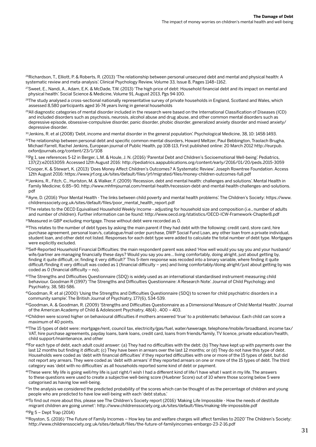26Richardson, T., Elliott, P. & Roberts, R. (2013) 'The relationship between personal unsecured debt and mental and physical health: A systematic review and meta-analysis'. Clinical Psychology Review, Volume 33, Issue 8, Pages 1148–1162.

- <sup>27</sup>Sweet, E., Nandi, A., Adam, E.K. & McDade, T.W. (2013) 'The high price of debt: Household financial debt and its impact on mental and physical health'. Social Science & Medicine, Volume 91, August 2013, Pgs 94-100.
- <sup>28</sup>The study analysed a cross-sectional nationally representative survey of private households in England, Scotland and Wales, which assessed 8,580 participants aged 16-74 years living in general households
- 29All diagnostic categories of mental disorder included in the research were based on the International Classification of Diseases (ICD) and included disorders such as psychosis, neurosis, alcohol abuse and drug abuse, and other common mental disorders such as depressive episode, obsessive-compulsive disorder, panic disorder, phobic disorder, generalized anxiety disorder and mixed anxiety/ depressive disorder.
- 30Jenkins, R. et al (2008) 'Debt, income and mental disorder in the general population'. Psychological Medicine, 38, 10: 1458-1493.
- 31The relationship between personal debt and specific common mental disorders, Howard Meltzer, Paul Bebbington, Traolach Brugha, Michael Farrell, Rachel Jenkins, European journal of Public Health, pp 108-113, First published online: 20 March 2012 http://eurpub. oxfordjournals.org/content/23/1/108
- 32Pg 1, see references 5-12 in Berger, L.M. & Houle, J. N. (2016) 'Parental Debt and Children's Socioemotional Well-being'. Pediatrics, 137(2):e20153059. Accessed 12th August 2016: http://pediatrics.aappublications.org/content/early/2016/01/20/peds.2015-3059
- 33Cooper, K. & Stewart, K. (2013) 'Does Money Affect Children's Outcomes? A Systematic Review'. Joseph Rowntree Foundation. Access 12th August 2016: https://www.jrf.org.uk/sites/default/files/jrf/migrated/files/money-children-outcomes-full.pdf
- 34Jenkins, R., Fitch, C., Hurlston, M. & Walker, F. (2009) 'Recession, debt and mental health: challenges and solutions'. Mental Health in Family Medicine; 6:85–90. http://www.mhfmjournal.com/mental-health/recession-debt-and-mental-health-challenges-and-solutions. pdf
- 35Ayre, D. (2016) 'Poor Mental Health The links between child poverty and mental health problems'. The Children's Society: https://www. childrenssociety.org.uk/sites/default/files/poor\_mental\_health\_report.pdf
- <sup>36</sup>The relates to the OECD Equivalised Household Weekly Income adjusting for household size and composition (i.e., number of adults and number of children). Further information can be found: http://www.oecd.org/statistics/OECD-ICW-Framework-Chapter8.pdf
- <sup>37</sup>Measured in GBP excluding mortgage. Those without debt were recorded as 0.
- 38This relates to the number of debt types by asking the main parent if they had debt with the following: credit card, store card, hire purchase agreement, personal loan/s, catalogue/mail order purchase, DWP Social Fund Loan, any other loan from a private individual, student loan, and other debt not listed. Responses for each debt type were added to calculate the total number of debt type. Mortgages were explicitly excluded.
- 39Self-Reported Household Financial Difficulties: the main respondent parent was asked 'How well would you say you and your husband/ wife/partner are managing financially these days? Would you say you are... living comfortably, doing alright, just about getting by, finding it quite difficult, or, finding it very difficult?' This 5-item response was recoded into a binary variable, where finding it quite difficult/finding it very difficult was coded as 1 (financial difficulty – yes) and living comfortably/doing alright/just about getting by was coded as 0 (financial difficulty – no).
- 40The Strengths and Difficulties Questionnaire (SDQ) is widely used as an international standardised instrument measuring child behaviour. Goodman R (1997) 'The Strengths and Difficulties Questionnaire: A Research Note'. Journal of Child Psychology and Psychiatry, 38, 581-586.
- <sup>41</sup>Goodman, R. et al (2000) 'Using the Strengths and Difficulties Questionnaire (SDQ) to screen for child psychiatric disorders in a community sample'. The British Journal of Psychiatry, 177(6), 534-539.
- 42Goodman, A. & Goodman, R. (2009) 'Strengths and Difficulties Questionnaire as a Dimensional Measure of Child Mental Health'. Journal of the American Academy of Child & Adolescent Psychiatry, 48(4) , 400 – 403.
- 43Children were scored higher on behavioural difficulties if mothers answered 'true' to a problematic behaviour. Each child can score a maximum of 40 points.
- 44The 15 types of debt were: mortgage/rent, council tax, electricity/gas/fuel, water/sewerage, telephone/mobile/broadband, income tax/ VAT, hire purchase agreements, payday loans, bank loans, credit card, loans from friends/family, TV licence, private education/health, child support/maintenance, and other
- $45$ For each type of debt, each adult could answer: (a) They had no difficulties with the debt; (b) They have kept up with payments over the last 12 months but finding it difficult; (c) They have been in arrears over the last 12 months; or (d) They do not have this type of debt. Households were coded as 'debt with financial difficulties' if they reported difficulties with one or more of the 15 types of debt, but did not report any arrears. They were coded as 'debt with arrears' if they reported arrears on one or more of the 15 types of debt. The third category was 'debt with no difficulties' as all households reported some kind of debt or payment.
- 46These were: My life is going well/my life is just right/I wish I had a different kind of life/I have what I want in my life. The answers to these questions were used to create a subjective well-being score (Huebner Score) out of 10 where those scoring below 5 were categorised as having low well-being.
- <sup>47</sup>In the analysis we considered the predicted probability of the scores which can be thought of as the percentage of children and young people who are predicted to have low well-being with each 'debt status.'
- 48To find out more about this, please see The Children's Society report (2016) 'Making Life Impossible How the needs of destitute migrant children are going unmet': http://www.childrenssociety.org.uk/sites/default/files/making-life-impossible.pdf
- 49Pg 5 Dept Trap (2014)
- 50Royston, S. (2016) 'The Future of Family Incomes How key tax and welfare charges will affect families to 2020' The Children's Society: http://www.childrenssociety.org.uk/sites/default/files/the-future-of-familyincomes-embargo-23-2-16.pdf